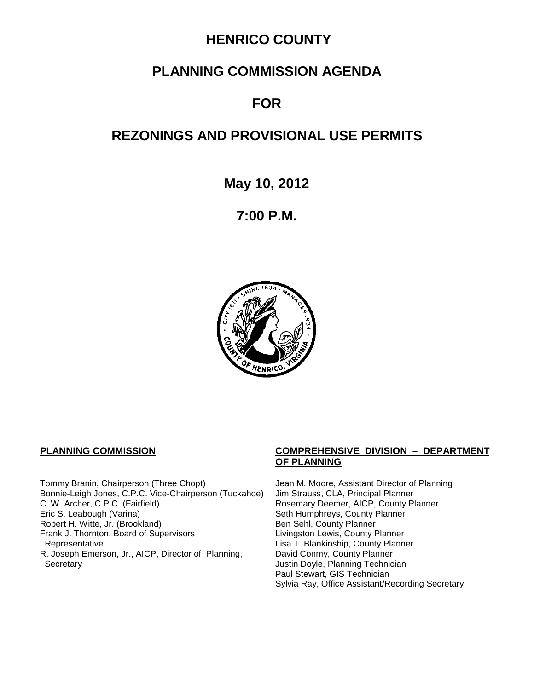## **HENRICO COUNTY**

## **PLANNING COMMISSION AGENDA**

# **FOR**

# **REZONINGS AND PROVISIONAL USE PERMITS**

**May 10, 2012**

**7:00 P.M.**



Tommy Branin, Chairperson (Three Chopt) Jean M. Moore, Assistant Director of Planning<br>Bonnie-Leigh Jones, C.P.C. Vice-Chairperson (Tuckahoe) Jim Strauss, CLA, Principal Planner Bonnie-Leigh Jones, C.P.C. Vice-Chairperson (Tuckahoe) C. W. Archer, C.P.C. (Fairfield) <br>
Eric S. Leabough (Varina) **Rosemary Deemer, AICP, County Planner**<br>
Seth Humphreys, County Planner Robert H. Witte, Jr. (Brookland) Ben Sehl, County Planner Frank J. Thornton, Board of Supervisors Representative R. Joseph Emerson, Jr., AICP, Director of Planning, Secretary **Secretary Justin Doyle, Planning Technician** 

#### **PLANNING COMMISSION COMPREHENSIVE DIVISION – DEPARTMENT OF PLANNING**

Seth Humphreys, County Planner<br>Ben Sehl, County Planner Lisa T. Blankinship, County Planner David Conmy, County Planner Paul Stewart, GIS Technician Sylvia Ray, Office Assistant/Recording Secretary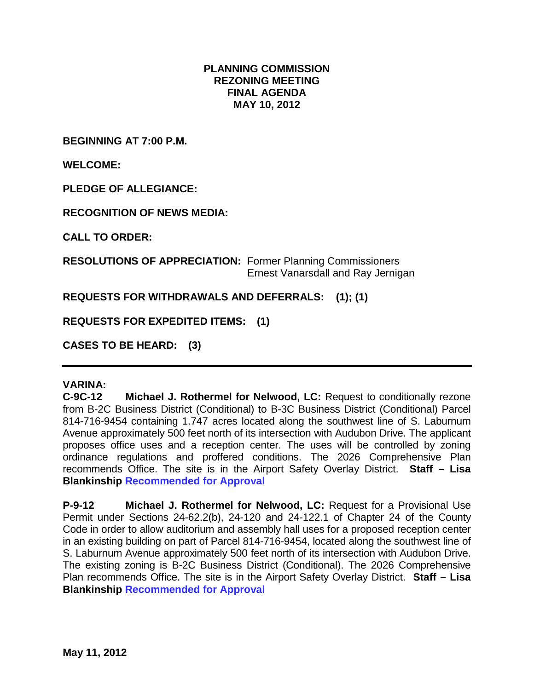### **PLANNING COMMISSION REZONING MEETING FINAL AGENDA MAY 10, 2012**

**BEGINNING AT 7:00 P.M.**

**WELCOME:**

**PLEDGE OF ALLEGIANCE:**

**RECOGNITION OF NEWS MEDIA:**

**CALL TO ORDER:**

**RESOLUTIONS OF APPRECIATION:** Former Planning Commissioners Ernest Vanarsdall and Ray Jernigan

**REQUESTS FOR WITHDRAWALS AND DEFERRALS: (1); (1)**

**REQUESTS FOR EXPEDITED ITEMS: (1)**

**CASES TO BE HEARD: (3)**

## **VARINA:**

**C-9C-12 Michael J. Rothermel for Nelwood, LC:** Request to conditionally rezone from B-2C Business District (Conditional) to B-3C Business District (Conditional) Parcel 814-716-9454 containing 1.747 acres located along the southwest line of S. Laburnum Avenue approximately 500 feet north of its intersection with Audubon Drive. The applicant proposes office uses and a reception center. The uses will be controlled by zoning ordinance regulations and proffered conditions. The 2026 Comprehensive Plan recommends Office. The site is in the Airport Safety Overlay District. **Staff – Lisa Blankinship Recommended for Approval**

**P-9-12 Michael J. Rothermel for Nelwood, LC:** Request for a Provisional Use Permit under Sections 24-62.2(b), 24-120 and 24-122.1 of Chapter 24 of the County Code in order to allow auditorium and assembly hall uses for a proposed reception center in an existing building on part of Parcel 814-716-9454, located along the southwest line of S. Laburnum Avenue approximately 500 feet north of its intersection with Audubon Drive. The existing zoning is B-2C Business District (Conditional). The 2026 Comprehensive Plan recommends Office. The site is in the Airport Safety Overlay District. **Staff – Lisa Blankinship Recommended for Approval**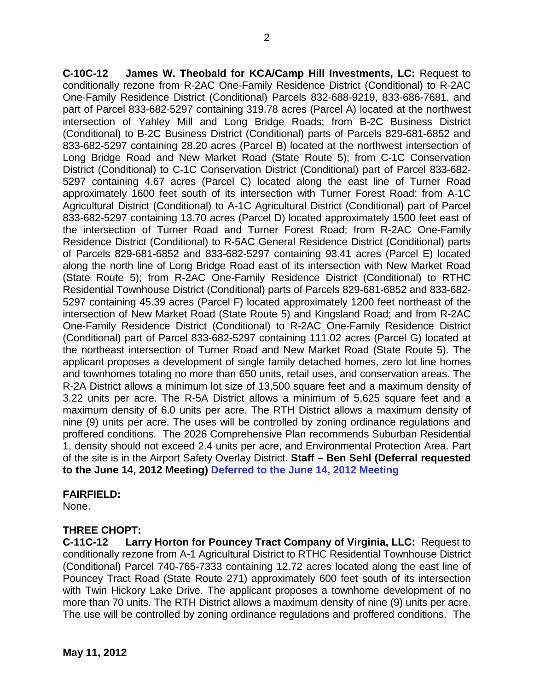**C-10C-12 James W. Theobald for KCA/Camp Hill Investments, LC:** Request to conditionally rezone from R-2AC One-Family Residence District (Conditional) to R-2AC One-Family Residence District (Conditional) Parcels 832-688-9219, 833-686-7681, and part of Parcel 833-682-5297 containing 319.78 acres (Parcel A) located at the northwest intersection of Yahley Mill and Long Bridge Roads; from B-2C Business District (Conditional) to B-2C Business District (Conditional) parts of Parcels 829-681-6852 and 833-682-5297 containing 28.20 acres (Parcel B) located at the northwest intersection of Long Bridge Road and New Market Road (State Route 5); from C-1C Conservation District (Conditional) to C-1C Conservation District (Conditional) part of Parcel 833-682- 5297 containing 4.67 acres (Parcel C) located along the east line of Turner Road approximately 1600 feet south of its intersection with Turner Forest Road; from A-1C Agricultural District (Conditional) to A-1C Agricultural District (Conditional) part of Parcel 833-682-5297 containing 13.70 acres (Parcel D) located approximately 1500 feet east of the intersection of Turner Road and Turner Forest Road; from R-2AC One-Family Residence District (Conditional) to R-5AC General Residence District (Conditional) parts of Parcels 829-681-6852 and 833-682-5297 containing 93.41 acres (Parcel E) located along the north line of Long Bridge Road east of its intersection with New Market Road (State Route 5); from R-2AC One-Family Residence District (Conditional) to RTHC Residential Townhouse District (Conditional) parts of Parcels 829-681-6852 and 833-682- 5297 containing 45.39 acres (Parcel F) located approximately 1200 feet northeast of the intersection of New Market Road (State Route 5) and Kingsland Road; and from R-2AC One-Family Residence District (Conditional) to R-2AC One-Family Residence District (Conditional) part of Parcel 833-682-5297 containing 111.02 acres (Parcel G) located at the northeast intersection of Turner Road and New Market Road (State Route 5). The applicant proposes a development of single family detached homes, zero lot line homes and townhomes totaling no more than 650 units, retail uses, and conservation areas. The R-2A District allows a minimum lot size of 13,500 square feet and a maximum density of 3.22 units per acre. The R-5A District allows a minimum of 5,625 square feet and a maximum density of 6.0 units per acre. The RTH District allows a maximum density of nine (9) units per acre. The uses will be controlled by zoning ordinance regulations and proffered conditions. The 2026 Comprehensive Plan recommends Suburban Residential 1, density should not exceed 2.4 units per acre, and Environmental Protection Area. Part of the site is in the Airport Safety Overlay District. **Staff – Ben Sehl (Deferral requested to the June 14, 2012 Meeting) Deferred to the June 14, 2012 Meeting**

#### **FAIRFIELD:**

None.

### **THREE CHOPT:**

**C-11C-12 Larry Horton for Pouncey Tract Company of Virginia, LLC:** Request to conditionally rezone from A-1 Agricultural District to RTHC Residential Townhouse District (Conditional) Parcel 740-765-7333 containing 12.72 acres located along the east line of Pouncey Tract Road (State Route 271) approximately 600 feet south of its intersection with Twin Hickory Lake Drive. The applicant proposes a townhome development of no more than 70 units. The RTH District allows a maximum density of nine (9) units per acre. The use will be controlled by zoning ordinance regulations and proffered conditions. The